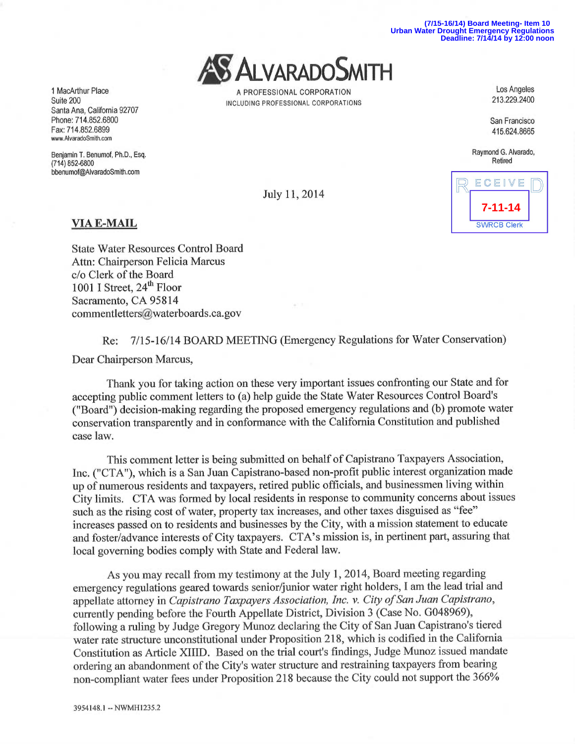**(7/15-16/14) Board Meeting- Item 10 Urban Water Drought Emergency Regulations Deadline: 7/14/14 by 12:00 noon**



1 MacArthur Place Los Angeles<br>
213.229.2400<br>
213.229.2400 Suite 200

Raymond G. Alvarado, Retired

**7-11-14**

**SWRCB Clerk** 

ECEIVE

July 11, 2014

## VIA E-MAIL

State Water Resources Control Board Attn: Chairperson Felicia Marcus c/o Clerk of the Board 1001 I Street,  $24^{\text{th}}$  Floor Sacramento, CA 95814 commentletters@waterboards.ca.gov

Re: 7/15-16/14 BOARD MEETING (Emergency Regulations for Water Conservation) Dear Chairperson Marcus,

Thank you for taking action on these very important issues confronting our State and for accepting public comment letters to (a) help guide the State Water Resources Control Board's ("Board") decision-making regarding the proposed emergency regulations and (b) promote water conservation transparently and in conformance with the California Constitution and published case law.

This comment letter is being submitted on behalf of Capistrano Taxpayers Association, Inc. ("CTA"), which is a San Juan Capistrano-based non-profit public interest organization made up of numerous residents and taxpayers, retired public officials, and businessmen living within City limits. CTA was formed by local residents in response to community concerns about issues such as the rising cost of water, property tax increases, and other taxes disguised as "fee" increases passed on to residents and businesses by the City, with a mission statement to educate and foster/advance interests of City taxpayers. CTA's mission is, in pertinent part, assuring that local governing bodies comply with State and Federal law.

As you may recall from my testimony at the July 1, 2014, Board meeting regarding emergency regulations geared towards senior/junior water right holders, I am the lead trial and appellate attorney in Capistrano Taxpayers Association, Inc. v. City of San Juan Capistrano, currently pending before the Fourth Appellate District, Division 3 (Case No. G048969), following a ruling by Judge Gregory Munoz declaring the City of San Juan Capistrano's tiered water rate structure unconstitutional under Proposition 218, which is codified in the California Constitution as Article XIIID. Based on the trial court's findings, Judge Munoz issued mandate ordering an abandonment of the City's water structure and restraining taxpayers from bearing non-compliant water fees under Proposition 218 because the City could not support the 366%

Santa Ana, California 92707 Phone: 714.852.6800 San Francisco Fax: 714.852.6899 415.624.8665 www.AlvaradoSmith.com

Benjamin T. Benumof, Ph.D., Esq. (714)852-6800 bbenumof@AlvaradoSmith.com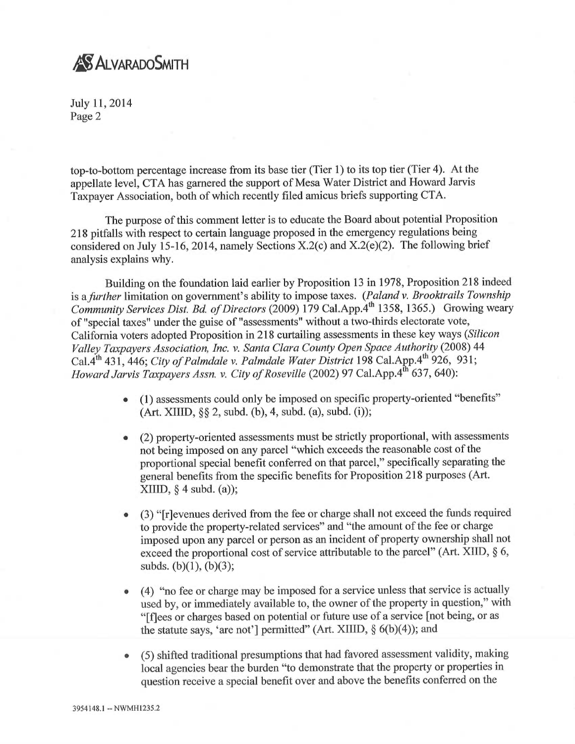## **AS ALVARADO SMITH**

July 11, 2014 Page 2

top-to-bottom percentage increase from its base tier (Tier 1) to its top tier (Tier 4). At the appellate level, CTA has garnered the support of Mesa Water District and Howard Jarvis Taxpayer Association, both of which recently filed amicus briefs supporting CTA.

The purpose of this comment letter is to educate the Board about potential Proposition 218 pitfalls with respect to certain language proposed in the emergency regulations being considered on July 15-16, 2014, namely Sections X.2(c) and X.2(e)(2). The following brief analysis explains why.

Building on the foundation laid earlier by Proposition 13 in 1978, Proposition 218 indeed is a further limitation on government's ability to impose taxes. (Paland v. Brooktrails Township Community Services Dist. Bd. of Directors (2009) 179 Cal.App.4<sup>th</sup> 1358, 1365.) Growing weary of "special taxes" under the guise of "assessments" without atwo-thirds electorate vote, California voters adopted Proposition in 218 curtailing assessments in these key ways (Silicon Valley Taxpayers Association, Inc. v. Santa Clara County Open Space Authority (2008) <sup>44</sup> Cal.4<sup>th</sup> 431, 446; City of Palmdale v. Palmdale Water District 198 Cal.App.4<sup>th</sup> 926, 931; Howard Jarvis Taxpayers Assn. v. City of Roseville (2002) 97 Cal.App.4<sup>th</sup> 637, 640):

- (1) assessments could only be imposed on specific property-oriented "benefits"  $(Art. XIIIID, \S\S 2, subd. (b), 4, subd. (a), subd. (i));$
- (2) property-oriented assessments must be strictly proportional, with assessments not being imposed on any parcel "which exceeds the reasonable cost of the proportional special benefit conferred on that parcel," specifically separating the general benefits from the specific benefits for Proposition 218 purposes (Art.  $XIIID, § 4 subd. (a);$
- (3) "[r]evenues derived from the fee or charge shall not exceed the funds required to provide the property-related services" and "the amount of the fee or charge imposed upon any parcel or person as an incident of property ownership shall not exceed the proportional cost of service attributable to the parcel" (Art. XIID, § 6, subds. (b)(1), (b)(3);
- (4) "no fee or charge may be imposed for a service unless that service is actually used by, or immediately available to, the owner of the property in question," with "[f]ees or charges based on potential or future use of a service [not being, or as the statute says, 'are not'] permitted" (Art. XIIID,  $\S$  6(b)(4)); and
- (5) shifted traditional presumptions that had favored assessment validity, making local agencies bear the burden "to demonstrate that the property or properties in question receive a special benefit over and above the benefits conferred on the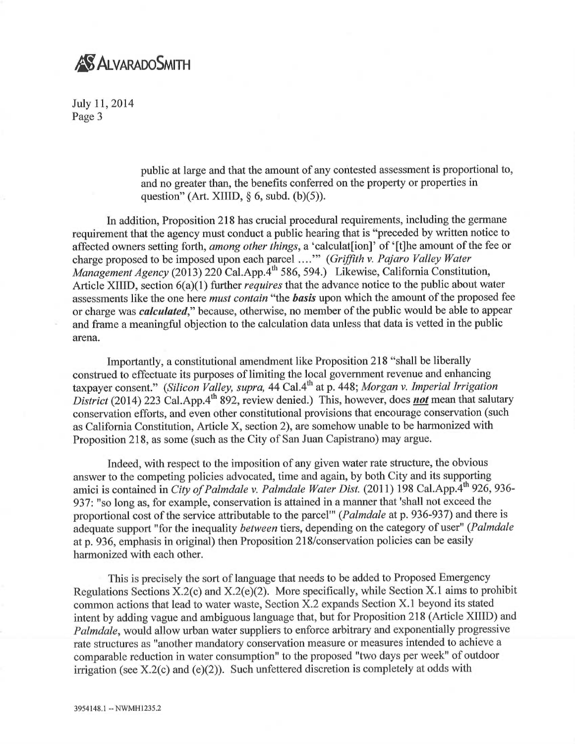## **AS ALVARADO SMITH**

July 11, 2014 Page 3

> public at large and that the amount of any contested assessment is proportional to, and no greater than, the benefits conferred on the property or properties in question" (Art. XIIID,  $\S$  6, subd. (b)(5)).

In addition, Proposition 218 has crucial procedural requirements, including the germane requirement that the agency must conduct a public hearing that is "preceded by written notice to affected owners setting forth, *among other things*, a 'calculat [ion]' of '[t]he amount of the fee or charge proposed to be imposed upon each parcel ...." (Griffith v. Pajaro Valley Water Management Agency (2013) 220 Cal.App. $\hat{A}^{th}$  586, 594.) Likewise, California Constitution, Article XIIID, section 6(a)(1) further *requires* that the advance notice to the public about water assessments like the one here *must contain* "the **basis** upon which the amount of the proposed fee or charge was calculated," because, otherwise, no member of the public would be able to appear and frame a meaningful objection to the calculation data unless that data is vetted in the public arena.

Importantly, a constitutional amendment like Proposition 218 "shall be liberally construed to effectuate its purposes of limiting the local government revenue and enhancing taxpayer consent." (Silicon Valley, supra, 44 Cal.4<sup>th</sup> at p. 448; Morgan v. Imperial Irrigation District (2014) 223 Cal.App.4<sup>th</sup> 892, review denied.) This, however, does not mean that salutary conservation efforts, and even other constitutional provisions that encourage conservation (such as California Constitution, Article X, section 2), are somehow unable to be harmonized with Proposition 218, as some (such as the City of San Juan Capistrano) may argue.

Indeed, with respect to the imposition of any given water rate structure, the obvious answer to the competing policies advocated, time and again, by both City and its supporting amici is contained in City of Palmdale v. Palmdale Water Dist. (2011) 198 Cal.App.4<sup>th</sup> 926, 936-937: "so long as, for example, conservation is attained in a manner that 'shall not exceed the proportional cost of the service attributable to the parcel"' (Palmdale at p. 936-937) and there is adequate support "for the inequality *between* tiers, depending on the category of user" (Palmdale at p. 936, emphasis in original) then Proposition 218/conservation policies can be easily harmonized with each other.

This is precisely the sort of language that needs to be added to Proposed Emergency Regulations Sections X.2(c) and X.2(e)(2). More specifically, while Section X.1 aims to prohibit common actions that lead to water waste, Section X.2 expands Section X.1 beyond its stated intent by adding vague and ambiguous language that, but for Proposition 218 (Article XIIID) and Palmdale, would allow urban water suppliers to enforce arbitrary and exponentially progressive rate structures as "another mandatory conservation measure or measures intended to achieve <sup>a</sup> comparable reduction in water consumption" to the proposed "two days per week" of outdoor irrigation (see X.2(c) and (e)(2)). Such unfettered discretion is completely at odds with